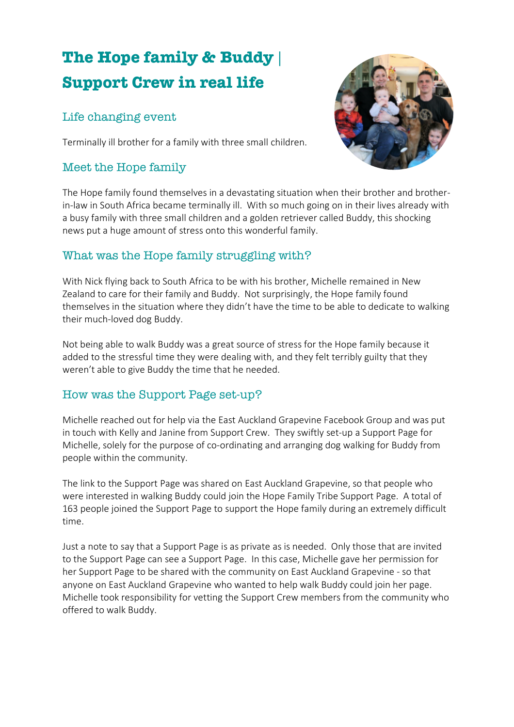# **The Hope family & Buddy | Support Crew in real life**

# Life changing event

Terminally ill brother for a family with three small children.

# Meet the Hope family



The Hope family found themselves in a devastating situation when their brother and brotherin-law in South Africa became terminally ill. With so much going on in their lives already with a busy family with three small children and a golden retriever called Buddy, this shocking news put a huge amount of stress onto this wonderful family.

#### What was the Hope family struggling with?

With Nick flying back to South Africa to be with his brother, Michelle remained in New Zealand to care for their family and Buddy. Not surprisingly, the Hope family found themselves in the situation where they didn't have the time to be able to dedicate to walking their much-loved dog Buddy.

Not being able to walk Buddy was a great source of stress for the Hope family because it added to the stressful time they were dealing with, and they felt terribly guilty that they weren't able to give Buddy the time that he needed.

#### How was the Support Page set-up?

Michelle reached out for help via the East Auckland Grapevine Facebook Group and was put in touch with Kelly and Janine from Support Crew. They swiftly set-up a Support Page for Michelle, solely for the purpose of co-ordinating and arranging dog walking for Buddy from people within the community.

The link to the Support Page was shared on East Auckland Grapevine, so that people who were interested in walking Buddy could join the Hope Family Tribe Support Page. A total of 163 people joined the Support Page to support the Hope family during an extremely difficult time.

Just a note to say that a Support Page is as private as is needed. Only those that are invited to the Support Page can see a Support Page. In this case, Michelle gave her permission for her Support Page to be shared with the community on East Auckland Grapevine - so that anyone on East Auckland Grapevine who wanted to help walk Buddy could join her page. Michelle took responsibility for vetting the Support Crew members from the community who offered to walk Buddy.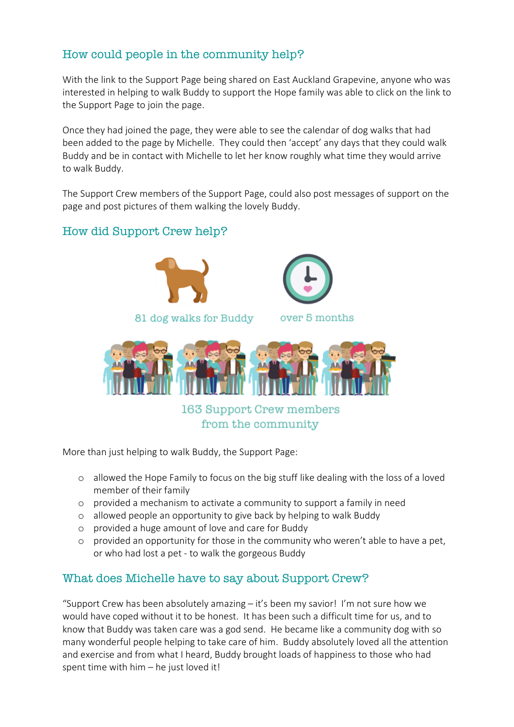# How could people in the community help?

With the link to the Support Page being shared on East Auckland Grapevine, anyone who was interested in helping to walk Buddy to support the Hope family was able to click on the link to the Support Page to join the page.

Once they had joined the page, they were able to see the calendar of dog walks that had been added to the page by Michelle. They could then 'accept' any days that they could walk Buddy and be in contact with Michelle to let her know roughly what time they would arrive to walk Buddy.

The Support Crew members of the Support Page, could also post messages of support on the page and post pictures of them walking the lovely Buddy.

### How did Support Crew help?





over 5 months



163 Support Crew members from the community

More than just helping to walk Buddy, the Support Page:

- o allowed the Hope Family to focus on the big stuff like dealing with the loss of a loved member of their family
- o provided a mechanism to activate a community to support a family in need
- o allowed people an opportunity to give back by helping to walk Buddy
- o provided a huge amount of love and care for Buddy
- o provided an opportunity for those in the community who weren't able to have a pet, or who had lost a pet - to walk the gorgeous Buddy

#### What does Michelle have to say about Support Crew?

"Support Crew has been absolutely amazing – it's been my savior! I'm not sure how we would have coped without it to be honest. It has been such a difficult time for us, and to know that Buddy was taken care was a god send. He became like a community dog with so many wonderful people helping to take care of him. Buddy absolutely loved all the attention and exercise and from what I heard, Buddy brought loads of happiness to those who had spent time with him – he just loved it!